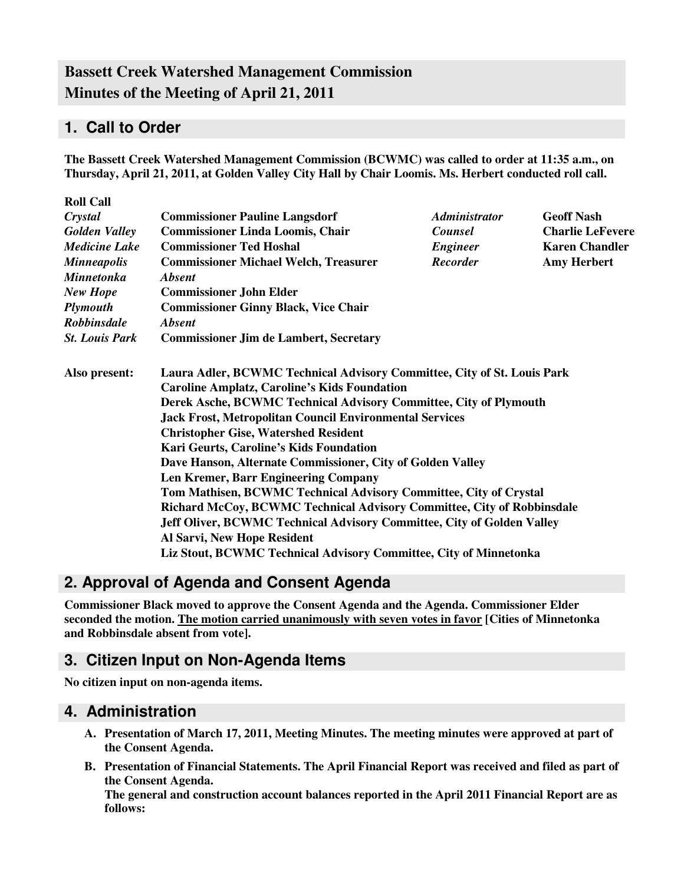# **Bassett Creek Watershed Management Commission Minutes of the Meeting of April 21, 2011**

## **1. Call to Order**

**The Bassett Creek Watershed Management Commission (BCWMC) was called to order at 11:35 a.m., on Thursday, April 21, 2011, at Golden Valley City Hall by Chair Loomis. Ms. Herbert conducted roll call.** 

| <b>Roll Call</b>      |                                                                                                                                                                                                                                                                                      |                             |                         |  |                                                                        |  |  |  |
|-----------------------|--------------------------------------------------------------------------------------------------------------------------------------------------------------------------------------------------------------------------------------------------------------------------------------|-----------------------------|-------------------------|--|------------------------------------------------------------------------|--|--|--|
| Crystal               | <b>Commissioner Pauline Langsdorf</b>                                                                                                                                                                                                                                                | <i><b>Administrator</b></i> | <b>Geoff Nash</b>       |  |                                                                        |  |  |  |
| <b>Golden Valley</b>  | <b>Commissioner Linda Loomis, Chair</b>                                                                                                                                                                                                                                              | <b>Counsel</b>              | <b>Charlie LeFevere</b> |  |                                                                        |  |  |  |
| <b>Medicine Lake</b>  | <b>Commissioner Ted Hoshal</b>                                                                                                                                                                                                                                                       | <b>Engineer</b>             | <b>Karen Chandler</b>   |  |                                                                        |  |  |  |
| <b>Minneapolis</b>    | <b>Commissioner Michael Welch, Treasurer</b>                                                                                                                                                                                                                                         | <b>Recorder</b>             | <b>Amy Herbert</b>      |  |                                                                        |  |  |  |
| <b>Minnetonka</b>     | <b>Absent</b>                                                                                                                                                                                                                                                                        |                             |                         |  |                                                                        |  |  |  |
| <b>New Hope</b>       | <b>Commissioner John Elder</b><br><b>Commissioner Ginny Black, Vice Chair</b><br><i><b>Absent</b></i><br><b>Commissioner Jim de Lambert, Secretary</b>                                                                                                                               |                             |                         |  |                                                                        |  |  |  |
| <b>Plymouth</b>       |                                                                                                                                                                                                                                                                                      |                             |                         |  |                                                                        |  |  |  |
| <b>Robbinsdale</b>    |                                                                                                                                                                                                                                                                                      |                             |                         |  |                                                                        |  |  |  |
| <b>St. Louis Park</b> |                                                                                                                                                                                                                                                                                      |                             |                         |  |                                                                        |  |  |  |
| Also present:         | Laura Adler, BCWMC Technical Advisory Committee, City of St. Louis Park                                                                                                                                                                                                              |                             |                         |  |                                                                        |  |  |  |
|                       | <b>Caroline Amplatz, Caroline's Kids Foundation</b><br>Derek Asche, BCWMC Technical Advisory Committee, City of Plymouth<br><b>Jack Frost, Metropolitan Council Environmental Services</b><br><b>Christopher Gise, Watershed Resident</b><br>Kari Geurts, Caroline's Kids Foundation |                             |                         |  |                                                                        |  |  |  |
|                       |                                                                                                                                                                                                                                                                                      |                             |                         |  | Dave Hanson, Alternate Commissioner, City of Golden Valley             |  |  |  |
|                       |                                                                                                                                                                                                                                                                                      |                             |                         |  | <b>Len Kremer, Barr Engineering Company</b>                            |  |  |  |
|                       |                                                                                                                                                                                                                                                                                      |                             |                         |  | Tom Mathisen, BCWMC Technical Advisory Committee, City of Crystal      |  |  |  |
|                       |                                                                                                                                                                                                                                                                                      |                             |                         |  | Richard McCoy, BCWMC Technical Advisory Committee, City of Robbinsdale |  |  |  |
|                       | Jeff Oliver, BCWMC Technical Advisory Committee, City of Golden Valley                                                                                                                                                                                                               |                             |                         |  |                                                                        |  |  |  |
|                       | Al Sarvi, New Hope Resident                                                                                                                                                                                                                                                          |                             |                         |  |                                                                        |  |  |  |
|                       | Liz Stout, BCWMC Technical Advisory Committee, City of Minnetonka                                                                                                                                                                                                                    |                             |                         |  |                                                                        |  |  |  |

# **2. Approval of Agenda and Consent Agenda**

**Commissioner Black moved to approve the Consent Agenda and the Agenda. Commissioner Elder seconded the motion. The motion carried unanimously with seven votes in favor [Cities of Minnetonka and Robbinsdale absent from vote].** 

### **3. Citizen Input on Non-Agenda Items**

**No citizen input on non-agenda items.** 

#### **4. Administration**

- **A. Presentation of March 17, 2011, Meeting Minutes. The meeting minutes were approved at part of the Consent Agenda.**
- **B. Presentation of Financial Statements. The April Financial Report was received and filed as part of the Consent Agenda.**

**The general and construction account balances reported in the April 2011 Financial Report are as follows:**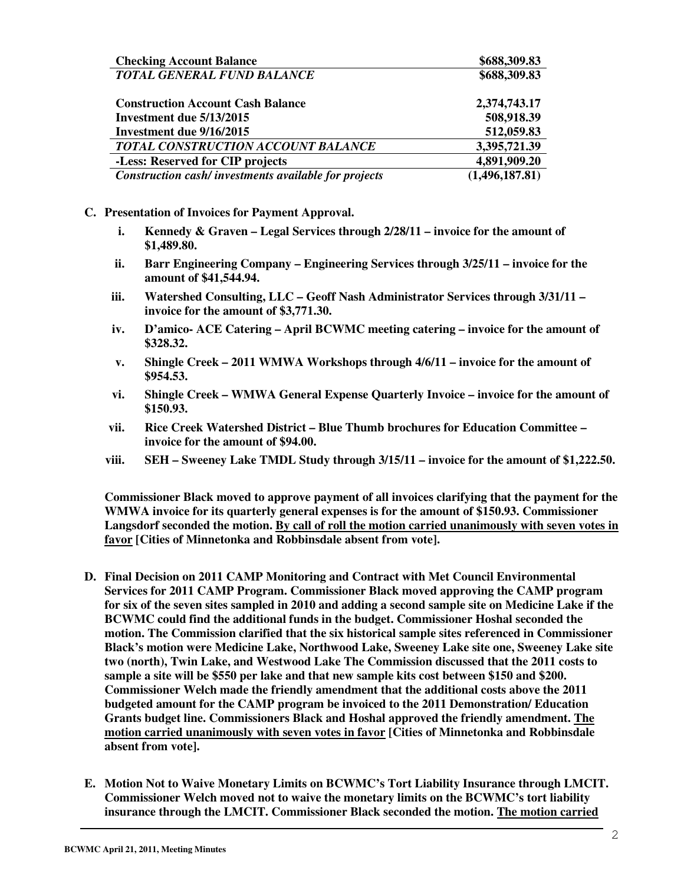| <b>Checking Account Balance</b>                      | \$688,309.83   |
|------------------------------------------------------|----------------|
| TOTAL GENERAL FUND BALANCE                           | \$688,309.83   |
| <b>Construction Account Cash Balance</b>             | 2,374,743.17   |
| Investment due 5/13/2015                             | 508,918.39     |
| Investment due 9/16/2015                             | 512,059.83     |
| <b>TOTAL CONSTRUCTION ACCOUNT BALANCE</b>            | 3,395,721.39   |
| -Less: Reserved for CIP projects                     | 4,891,909.20   |
| Construction cash/investments available for projects | (1,496,187.81) |

#### **C. Presentation of Invoices for Payment Approval.**

- **i. Kennedy & Graven Legal Services through 2/28/11 invoice for the amount of \$1,489.80.**
- **ii. Barr Engineering Company Engineering Services through 3/25/11 invoice for the amount of \$41,544.94.**
- **iii. Watershed Consulting, LLC Geoff Nash Administrator Services through 3/31/11 invoice for the amount of \$3,771.30.**
- **iv. D'amico- ACE Catering April BCWMC meeting catering invoice for the amount of \$328.32.**
- **v. Shingle Creek 2011 WMWA Workshops through 4/6/11 invoice for the amount of \$954.53.**
- **vi. Shingle Creek WMWA General Expense Quarterly Invoice invoice for the amount of \$150.93.**
- **vii. Rice Creek Watershed District Blue Thumb brochures for Education Committee invoice for the amount of \$94.00.**
- **viii. SEH Sweeney Lake TMDL Study through 3/15/11 invoice for the amount of \$1,222.50.**

 **Commissioner Black moved to approve payment of all invoices clarifying that the payment for the WMWA invoice for its quarterly general expenses is for the amount of \$150.93. Commissioner Langsdorf seconded the motion. By call of roll the motion carried unanimously with seven votes in favor [Cities of Minnetonka and Robbinsdale absent from vote].** 

- **D. Final Decision on 2011 CAMP Monitoring and Contract with Met Council Environmental Services for 2011 CAMP Program. Commissioner Black moved approving the CAMP program for six of the seven sites sampled in 2010 and adding a second sample site on Medicine Lake if the BCWMC could find the additional funds in the budget. Commissioner Hoshal seconded the motion. The Commission clarified that the six historical sample sites referenced in Commissioner Black's motion were Medicine Lake, Northwood Lake, Sweeney Lake site one, Sweeney Lake site two (north), Twin Lake, and Westwood Lake The Commission discussed that the 2011 costs to sample a site will be \$550 per lake and that new sample kits cost between \$150 and \$200. Commissioner Welch made the friendly amendment that the additional costs above the 2011 budgeted amount for the CAMP program be invoiced to the 2011 Demonstration/ Education Grants budget line. Commissioners Black and Hoshal approved the friendly amendment. The motion carried unanimously with seven votes in favor [Cities of Minnetonka and Robbinsdale absent from vote].**
- **E. Motion Not to Waive Monetary Limits on BCWMC's Tort Liability Insurance through LMCIT. Commissioner Welch moved not to waive the monetary limits on the BCWMC's tort liability insurance through the LMCIT. Commissioner Black seconded the motion. The motion carried**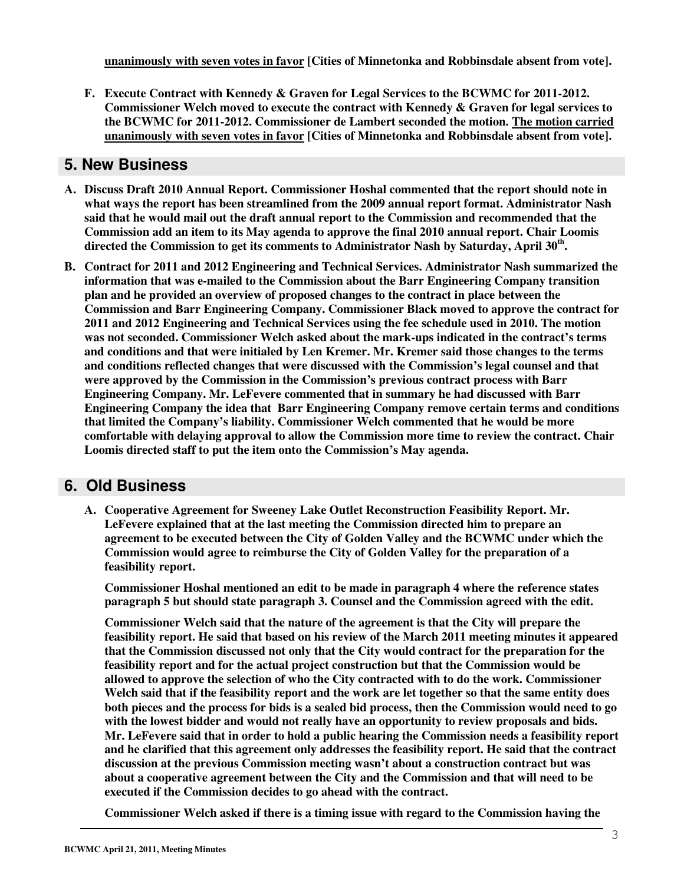**unanimously with seven votes in favor [Cities of Minnetonka and Robbinsdale absent from vote].** 

**F. Execute Contract with Kennedy & Graven for Legal Services to the BCWMC for 2011-2012. Commissioner Welch moved to execute the contract with Kennedy & Graven for legal services to the BCWMC for 2011-2012. Commissioner de Lambert seconded the motion. The motion carried unanimously with seven votes in favor [Cities of Minnetonka and Robbinsdale absent from vote].** 

### **5. New Business**

- **A. Discuss Draft 2010 Annual Report. Commissioner Hoshal commented that the report should note in what ways the report has been streamlined from the 2009 annual report format. Administrator Nash said that he would mail out the draft annual report to the Commission and recommended that the Commission add an item to its May agenda to approve the final 2010 annual report. Chair Loomis directed the Commission to get its comments to Administrator Nash by Saturday, April 30th .**
- **B. Contract for 2011 and 2012 Engineering and Technical Services. Administrator Nash summarized the information that was e-mailed to the Commission about the Barr Engineering Company transition plan and he provided an overview of proposed changes to the contract in place between the Commission and Barr Engineering Company. Commissioner Black moved to approve the contract for 2011 and 2012 Engineering and Technical Services using the fee schedule used in 2010. The motion was not seconded. Commissioner Welch asked about the mark-ups indicated in the contract's terms and conditions and that were initialed by Len Kremer. Mr. Kremer said those changes to the terms and conditions reflected changes that were discussed with the Commission's legal counsel and that were approved by the Commission in the Commission's previous contract process with Barr Engineering Company. Mr. LeFevere commented that in summary he had discussed with Barr Engineering Company the idea that Barr Engineering Company remove certain terms and conditions that limited the Company's liability. Commissioner Welch commented that he would be more comfortable with delaying approval to allow the Commission more time to review the contract. Chair Loomis directed staff to put the item onto the Commission's May agenda.**

#### **6. Old Business**

**A. Cooperative Agreement for Sweeney Lake Outlet Reconstruction Feasibility Report. Mr. LeFevere explained that at the last meeting the Commission directed him to prepare an agreement to be executed between the City of Golden Valley and the BCWMC under which the Commission would agree to reimburse the City of Golden Valley for the preparation of a feasibility report.** 

**Commissioner Hoshal mentioned an edit to be made in paragraph 4 where the reference states paragraph 5 but should state paragraph 3. Counsel and the Commission agreed with the edit.** 

**Commissioner Welch said that the nature of the agreement is that the City will prepare the feasibility report. He said that based on his review of the March 2011 meeting minutes it appeared that the Commission discussed not only that the City would contract for the preparation for the feasibility report and for the actual project construction but that the Commission would be allowed to approve the selection of who the City contracted with to do the work. Commissioner Welch said that if the feasibility report and the work are let together so that the same entity does both pieces and the process for bids is a sealed bid process, then the Commission would need to go with the lowest bidder and would not really have an opportunity to review proposals and bids. Mr. LeFevere said that in order to hold a public hearing the Commission needs a feasibility report and he clarified that this agreement only addresses the feasibility report. He said that the contract discussion at the previous Commission meeting wasn't about a construction contract but was about a cooperative agreement between the City and the Commission and that will need to be executed if the Commission decides to go ahead with the contract.** 

**Commissioner Welch asked if there is a timing issue with regard to the Commission having the**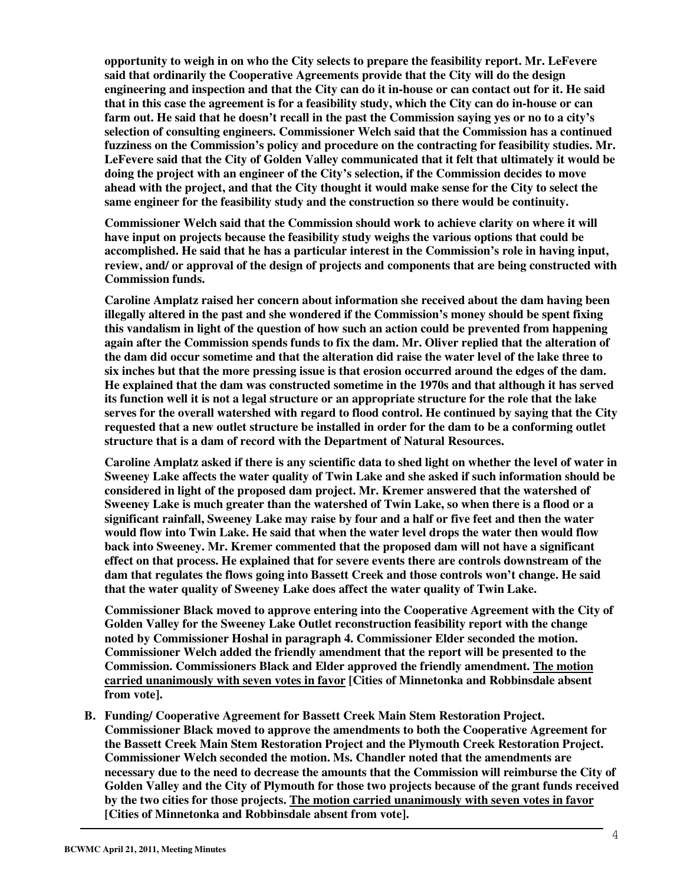**opportunity to weigh in on who the City selects to prepare the feasibility report. Mr. LeFevere said that ordinarily the Cooperative Agreements provide that the City will do the design engineering and inspection and that the City can do it in-house or can contact out for it. He said that in this case the agreement is for a feasibility study, which the City can do in-house or can farm out. He said that he doesn't recall in the past the Commission saying yes or no to a city's selection of consulting engineers. Commissioner Welch said that the Commission has a continued fuzziness on the Commission's policy and procedure on the contracting for feasibility studies. Mr. LeFevere said that the City of Golden Valley communicated that it felt that ultimately it would be doing the project with an engineer of the City's selection, if the Commission decides to move ahead with the project, and that the City thought it would make sense for the City to select the same engineer for the feasibility study and the construction so there would be continuity.** 

**Commissioner Welch said that the Commission should work to achieve clarity on where it will have input on projects because the feasibility study weighs the various options that could be accomplished. He said that he has a particular interest in the Commission's role in having input, review, and/ or approval of the design of projects and components that are being constructed with Commission funds.** 

**Caroline Amplatz raised her concern about information she received about the dam having been illegally altered in the past and she wondered if the Commission's money should be spent fixing this vandalism in light of the question of how such an action could be prevented from happening again after the Commission spends funds to fix the dam. Mr. Oliver replied that the alteration of the dam did occur sometime and that the alteration did raise the water level of the lake three to six inches but that the more pressing issue is that erosion occurred around the edges of the dam. He explained that the dam was constructed sometime in the 1970s and that although it has served its function well it is not a legal structure or an appropriate structure for the role that the lake serves for the overall watershed with regard to flood control. He continued by saying that the City requested that a new outlet structure be installed in order for the dam to be a conforming outlet structure that is a dam of record with the Department of Natural Resources.** 

**Caroline Amplatz asked if there is any scientific data to shed light on whether the level of water in Sweeney Lake affects the water quality of Twin Lake and she asked if such information should be considered in light of the proposed dam project. Mr. Kremer answered that the watershed of Sweeney Lake is much greater than the watershed of Twin Lake, so when there is a flood or a significant rainfall, Sweeney Lake may raise by four and a half or five feet and then the water would flow into Twin Lake. He said that when the water level drops the water then would flow back into Sweeney. Mr. Kremer commented that the proposed dam will not have a significant effect on that process. He explained that for severe events there are controls downstream of the dam that regulates the flows going into Bassett Creek and those controls won't change. He said that the water quality of Sweeney Lake does affect the water quality of Twin Lake.** 

**Commissioner Black moved to approve entering into the Cooperative Agreement with the City of Golden Valley for the Sweeney Lake Outlet reconstruction feasibility report with the change noted by Commissioner Hoshal in paragraph 4. Commissioner Elder seconded the motion. Commissioner Welch added the friendly amendment that the report will be presented to the Commission. Commissioners Black and Elder approved the friendly amendment. The motion carried unanimously with seven votes in favor [Cities of Minnetonka and Robbinsdale absent from vote].** 

**B. Funding/ Cooperative Agreement for Bassett Creek Main Stem Restoration Project. Commissioner Black moved to approve the amendments to both the Cooperative Agreement for the Bassett Creek Main Stem Restoration Project and the Plymouth Creek Restoration Project. Commissioner Welch seconded the motion. Ms. Chandler noted that the amendments are necessary due to the need to decrease the amounts that the Commission will reimburse the City of Golden Valley and the City of Plymouth for those two projects because of the grant funds received by the two cities for those projects. The motion carried unanimously with seven votes in favor [Cities of Minnetonka and Robbinsdale absent from vote].**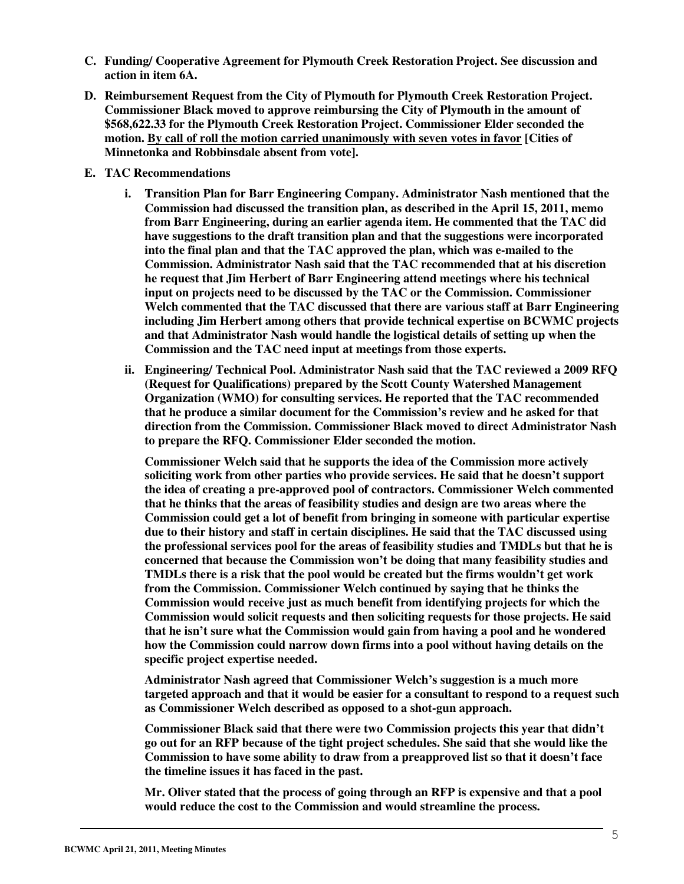- **C. Funding/ Cooperative Agreement for Plymouth Creek Restoration Project. See discussion and action in item 6A.**
- **D. Reimbursement Request from the City of Plymouth for Plymouth Creek Restoration Project. Commissioner Black moved to approve reimbursing the City of Plymouth in the amount of \$568,622.33 for the Plymouth Creek Restoration Project. Commissioner Elder seconded the motion. By call of roll the motion carried unanimously with seven votes in favor [Cities of Minnetonka and Robbinsdale absent from vote].**
- **E. TAC Recommendations** 
	- **i. Transition Plan for Barr Engineering Company. Administrator Nash mentioned that the Commission had discussed the transition plan, as described in the April 15, 2011, memo from Barr Engineering, during an earlier agenda item. He commented that the TAC did have suggestions to the draft transition plan and that the suggestions were incorporated into the final plan and that the TAC approved the plan, which was e-mailed to the Commission. Administrator Nash said that the TAC recommended that at his discretion he request that Jim Herbert of Barr Engineering attend meetings where his technical input on projects need to be discussed by the TAC or the Commission. Commissioner Welch commented that the TAC discussed that there are various staff at Barr Engineering including Jim Herbert among others that provide technical expertise on BCWMC projects and that Administrator Nash would handle the logistical details of setting up when the Commission and the TAC need input at meetings from those experts.**
	- **ii. Engineering/ Technical Pool. Administrator Nash said that the TAC reviewed a 2009 RFQ (Request for Qualifications) prepared by the Scott County Watershed Management Organization (WMO) for consulting services. He reported that the TAC recommended that he produce a similar document for the Commission's review and he asked for that direction from the Commission. Commissioner Black moved to direct Administrator Nash to prepare the RFQ. Commissioner Elder seconded the motion.**

**Commissioner Welch said that he supports the idea of the Commission more actively soliciting work from other parties who provide services. He said that he doesn't support the idea of creating a pre-approved pool of contractors. Commissioner Welch commented that he thinks that the areas of feasibility studies and design are two areas where the Commission could get a lot of benefit from bringing in someone with particular expertise due to their history and staff in certain disciplines. He said that the TAC discussed using the professional services pool for the areas of feasibility studies and TMDLs but that he is concerned that because the Commission won't be doing that many feasibility studies and TMDLs there is a risk that the pool would be created but the firms wouldn't get work from the Commission. Commissioner Welch continued by saying that he thinks the Commission would receive just as much benefit from identifying projects for which the Commission would solicit requests and then soliciting requests for those projects. He said that he isn't sure what the Commission would gain from having a pool and he wondered how the Commission could narrow down firms into a pool without having details on the specific project expertise needed.** 

**Administrator Nash agreed that Commissioner Welch's suggestion is a much more targeted approach and that it would be easier for a consultant to respond to a request such as Commissioner Welch described as opposed to a shot-gun approach.** 

**Commissioner Black said that there were two Commission projects this year that didn't go out for an RFP because of the tight project schedules. She said that she would like the Commission to have some ability to draw from a preapproved list so that it doesn't face the timeline issues it has faced in the past.** 

**Mr. Oliver stated that the process of going through an RFP is expensive and that a pool would reduce the cost to the Commission and would streamline the process.**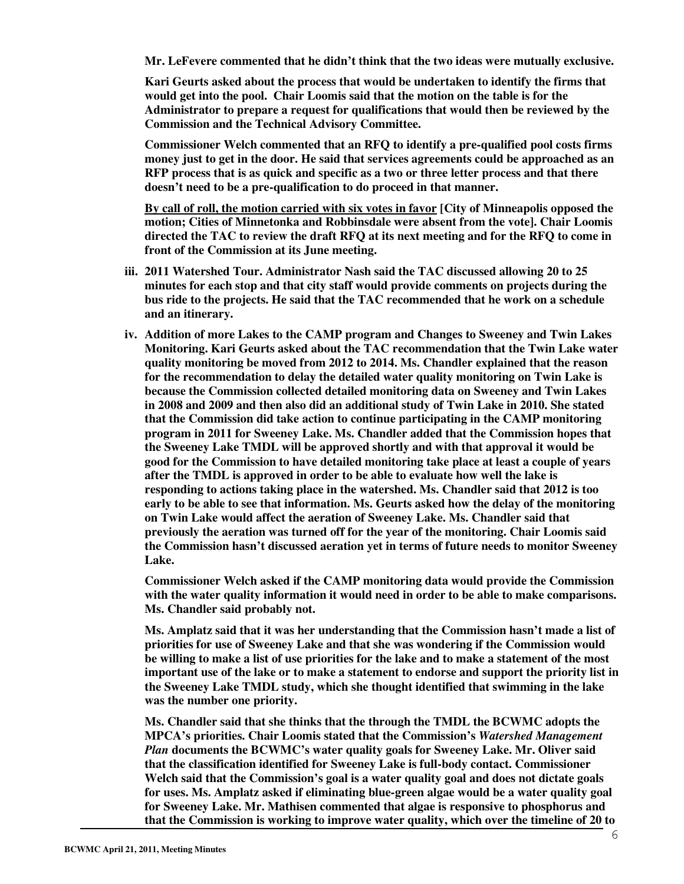**Mr. LeFevere commented that he didn't think that the two ideas were mutually exclusive.** 

**Kari Geurts asked about the process that would be undertaken to identify the firms that would get into the pool. Chair Loomis said that the motion on the table is for the Administrator to prepare a request for qualifications that would then be reviewed by the Commission and the Technical Advisory Committee.** 

**Commissioner Welch commented that an RFQ to identify a pre-qualified pool costs firms money just to get in the door. He said that services agreements could be approached as an RFP process that is as quick and specific as a two or three letter process and that there doesn't need to be a pre-qualification to do proceed in that manner.** 

**By call of roll, the motion carried with six votes in favor [City of Minneapolis opposed the motion; Cities of Minnetonka and Robbinsdale were absent from the vote]. Chair Loomis directed the TAC to review the draft RFQ at its next meeting and for the RFQ to come in front of the Commission at its June meeting.** 

- **iii. 2011 Watershed Tour. Administrator Nash said the TAC discussed allowing 20 to 25 minutes for each stop and that city staff would provide comments on projects during the bus ride to the projects. He said that the TAC recommended that he work on a schedule and an itinerary.**
- **iv. Addition of more Lakes to the CAMP program and Changes to Sweeney and Twin Lakes Monitoring. Kari Geurts asked about the TAC recommendation that the Twin Lake water quality monitoring be moved from 2012 to 2014. Ms. Chandler explained that the reason for the recommendation to delay the detailed water quality monitoring on Twin Lake is because the Commission collected detailed monitoring data on Sweeney and Twin Lakes in 2008 and 2009 and then also did an additional study of Twin Lake in 2010. She stated that the Commission did take action to continue participating in the CAMP monitoring program in 2011 for Sweeney Lake. Ms. Chandler added that the Commission hopes that the Sweeney Lake TMDL will be approved shortly and with that approval it would be good for the Commission to have detailed monitoring take place at least a couple of years after the TMDL is approved in order to be able to evaluate how well the lake is responding to actions taking place in the watershed. Ms. Chandler said that 2012 is too early to be able to see that information. Ms. Geurts asked how the delay of the monitoring on Twin Lake would affect the aeration of Sweeney Lake. Ms. Chandler said that previously the aeration was turned off for the year of the monitoring. Chair Loomis said the Commission hasn't discussed aeration yet in terms of future needs to monitor Sweeney Lake.**

**Commissioner Welch asked if the CAMP monitoring data would provide the Commission with the water quality information it would need in order to be able to make comparisons. Ms. Chandler said probably not.** 

**Ms. Amplatz said that it was her understanding that the Commission hasn't made a list of priorities for use of Sweeney Lake and that she was wondering if the Commission would be willing to make a list of use priorities for the lake and to make a statement of the most important use of the lake or to make a statement to endorse and support the priority list in the Sweeney Lake TMDL study, which she thought identified that swimming in the lake was the number one priority.** 

**Ms. Chandler said that she thinks that the through the TMDL the BCWMC adopts the MPCA's priorities. Chair Loomis stated that the Commission's** *Watershed Management Plan* **documents the BCWMC's water quality goals for Sweeney Lake. Mr. Oliver said that the classification identified for Sweeney Lake is full-body contact. Commissioner Welch said that the Commission's goal is a water quality goal and does not dictate goals for uses. Ms. Amplatz asked if eliminating blue-green algae would be a water quality goal for Sweeney Lake. Mr. Mathisen commented that algae is responsive to phosphorus and that the Commission is working to improve water quality, which over the timeline of 20 to**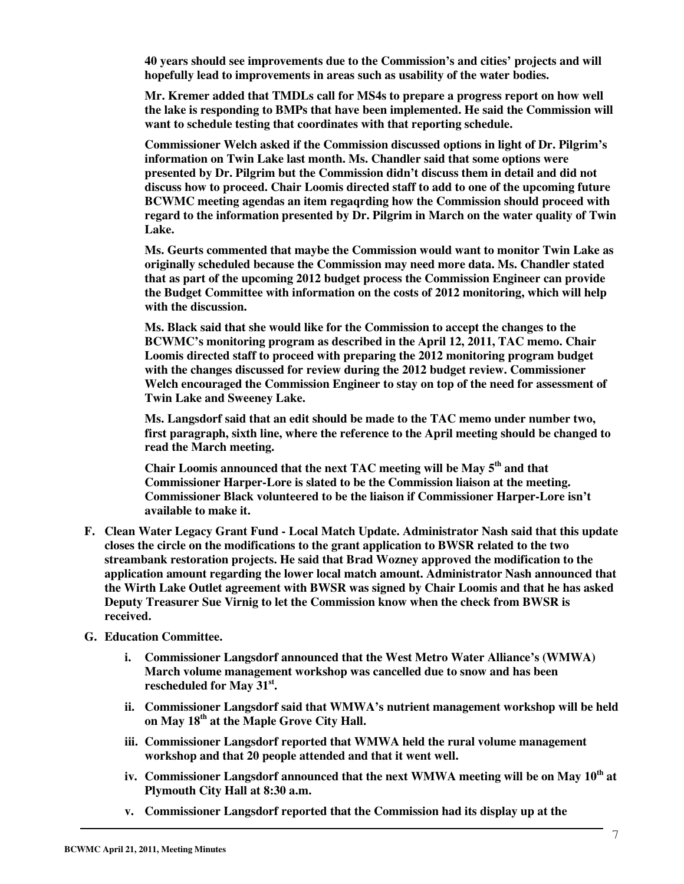**40 years should see improvements due to the Commission's and cities' projects and will hopefully lead to improvements in areas such as usability of the water bodies.** 

**Mr. Kremer added that TMDLs call for MS4s to prepare a progress report on how well the lake is responding to BMPs that have been implemented. He said the Commission will want to schedule testing that coordinates with that reporting schedule.** 

**Commissioner Welch asked if the Commission discussed options in light of Dr. Pilgrim's information on Twin Lake last month. Ms. Chandler said that some options were presented by Dr. Pilgrim but the Commission didn't discuss them in detail and did not discuss how to proceed. Chair Loomis directed staff to add to one of the upcoming future BCWMC meeting agendas an item regaqrding how the Commission should proceed with regard to the information presented by Dr. Pilgrim in March on the water quality of Twin Lake.** 

**Ms. Geurts commented that maybe the Commission would want to monitor Twin Lake as originally scheduled because the Commission may need more data. Ms. Chandler stated that as part of the upcoming 2012 budget process the Commission Engineer can provide the Budget Committee with information on the costs of 2012 monitoring, which will help with the discussion.** 

**Ms. Black said that she would like for the Commission to accept the changes to the BCWMC's monitoring program as described in the April 12, 2011, TAC memo. Chair Loomis directed staff to proceed with preparing the 2012 monitoring program budget with the changes discussed for review during the 2012 budget review. Commissioner Welch encouraged the Commission Engineer to stay on top of the need for assessment of Twin Lake and Sweeney Lake.** 

**Ms. Langsdorf said that an edit should be made to the TAC memo under number two, first paragraph, sixth line, where the reference to the April meeting should be changed to read the March meeting.** 

**Chair Loomis announced that the next TAC meeting will be May 5th and that Commissioner Harper-Lore is slated to be the Commission liaison at the meeting. Commissioner Black volunteered to be the liaison if Commissioner Harper-Lore isn't available to make it.** 

- **F. Clean Water Legacy Grant Fund Local Match Update. Administrator Nash said that this update closes the circle on the modifications to the grant application to BWSR related to the two streambank restoration projects. He said that Brad Wozney approved the modification to the application amount regarding the lower local match amount. Administrator Nash announced that the Wirth Lake Outlet agreement with BWSR was signed by Chair Loomis and that he has asked Deputy Treasurer Sue Virnig to let the Commission know when the check from BWSR is received.**
- **G. Education Committee.** 
	- **i. Commissioner Langsdorf announced that the West Metro Water Alliance's (WMWA) March volume management workshop was cancelled due to snow and has been rescheduled for May 31st .**
	- **ii. Commissioner Langsdorf said that WMWA's nutrient management workshop will be held on May 18th at the Maple Grove City Hall.**
	- **iii. Commissioner Langsdorf reported that WMWA held the rural volume management workshop and that 20 people attended and that it went well.**
	- **iv. Commissioner Langsdorf announced that the next WMWA meeting will be on May 10th at Plymouth City Hall at 8:30 a.m.**
	- **v. Commissioner Langsdorf reported that the Commission had its display up at the**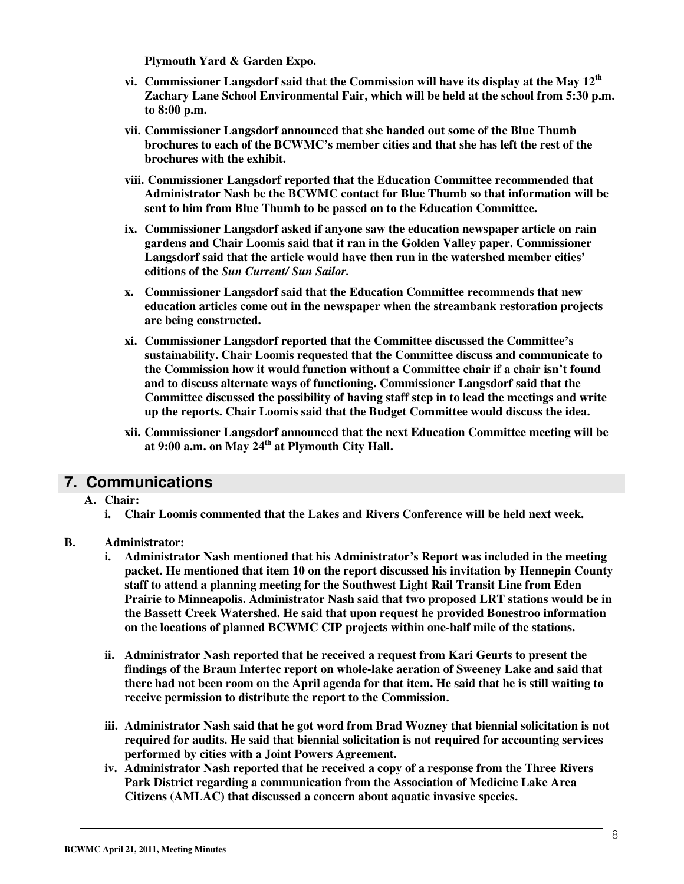**Plymouth Yard & Garden Expo.** 

- **vi. Commissioner Langsdorf said that the Commission will have its display at the May 12th Zachary Lane School Environmental Fair, which will be held at the school from 5:30 p.m. to 8:00 p.m.**
- **vii. Commissioner Langsdorf announced that she handed out some of the Blue Thumb brochures to each of the BCWMC's member cities and that she has left the rest of the brochures with the exhibit.**
- **viii. Commissioner Langsdorf reported that the Education Committee recommended that Administrator Nash be the BCWMC contact for Blue Thumb so that information will be sent to him from Blue Thumb to be passed on to the Education Committee.**
- **ix. Commissioner Langsdorf asked if anyone saw the education newspaper article on rain gardens and Chair Loomis said that it ran in the Golden Valley paper. Commissioner Langsdorf said that the article would have then run in the watershed member cities' editions of the** *Sun Current/ Sun Sailor.*
- **x. Commissioner Langsdorf said that the Education Committee recommends that new education articles come out in the newspaper when the streambank restoration projects are being constructed.**
- **xi. Commissioner Langsdorf reported that the Committee discussed the Committee's sustainability. Chair Loomis requested that the Committee discuss and communicate to the Commission how it would function without a Committee chair if a chair isn't found and to discuss alternate ways of functioning. Commissioner Langsdorf said that the Committee discussed the possibility of having staff step in to lead the meetings and write up the reports. Chair Loomis said that the Budget Committee would discuss the idea.**
- **xii. Commissioner Langsdorf announced that the next Education Committee meeting will be at 9:00 a.m. on May 24th at Plymouth City Hall.**

#### **7. Communications**

- **A. Chair:** 
	- **i. Chair Loomis commented that the Lakes and Rivers Conference will be held next week.**

#### **B. Administrator:**

- **i. Administrator Nash mentioned that his Administrator's Report was included in the meeting packet. He mentioned that item 10 on the report discussed his invitation by Hennepin County staff to attend a planning meeting for the Southwest Light Rail Transit Line from Eden Prairie to Minneapolis. Administrator Nash said that two proposed LRT stations would be in the Bassett Creek Watershed. He said that upon request he provided Bonestroo information on the locations of planned BCWMC CIP projects within one-half mile of the stations.**
- **ii. Administrator Nash reported that he received a request from Kari Geurts to present the findings of the Braun Intertec report on whole-lake aeration of Sweeney Lake and said that there had not been room on the April agenda for that item. He said that he is still waiting to receive permission to distribute the report to the Commission.**
- **iii. Administrator Nash said that he got word from Brad Wozney that biennial solicitation is not required for audits. He said that biennial solicitation is not required for accounting services performed by cities with a Joint Powers Agreement.**
- **iv. Administrator Nash reported that he received a copy of a response from the Three Rivers Park District regarding a communication from the Association of Medicine Lake Area Citizens (AMLAC) that discussed a concern about aquatic invasive species.**